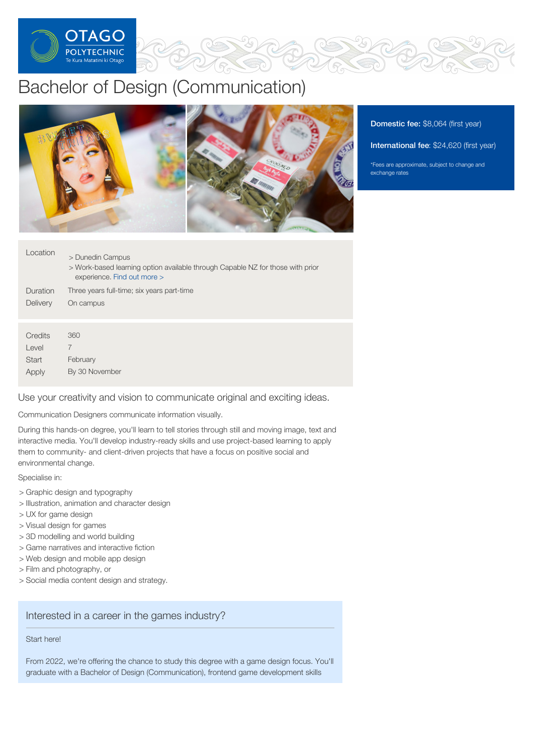

# Bachelor of Design (Communication)



Domestic fee: \$8,064 (first year)

International fee: \$24,620 (first year)

\*Fees are approximate, subject to change and exchange rates

| Location | > Dunedin Campus<br>> Work-based learning option available through Capable NZ for those with prior<br>experience. Find out more > |
|----------|-----------------------------------------------------------------------------------------------------------------------------------|
| Duration | Three years full-time; six years part-time                                                                                        |
| Delivery | On campus                                                                                                                         |
|          |                                                                                                                                   |
| Credits  | 360                                                                                                                               |
| Level    | 7                                                                                                                                 |
| Start    | February                                                                                                                          |
| Apply    | By 30 November                                                                                                                    |

Use your creativity and vision to communicate original and exciting ideas.

Communication Designers communicate information visually.

During this hands-on degree, you'll learn to tell stories through still and moving image, text and interactive media. You'll develop industry-ready skills and use project-based learning to apply them to community- and client-driven projects that have a focus on positive social and environmental change.

Specialise in:

- > Graphic design and typography
- > Illustration, animation and character design
- > UX for game design
- > Visual design for games
- > 3D modelling and world building
- > Game narratives and interactive fiction
- > Web design and mobile app design
- > Film and photography, or
- > Social media content design and strategy.

## Interested in a career in the games industry?

## Start here!

From 2022, we're offering the chance to study this degree with a game design focus. You'll graduate with a Bachelor of Design (Communication), frontend game development skills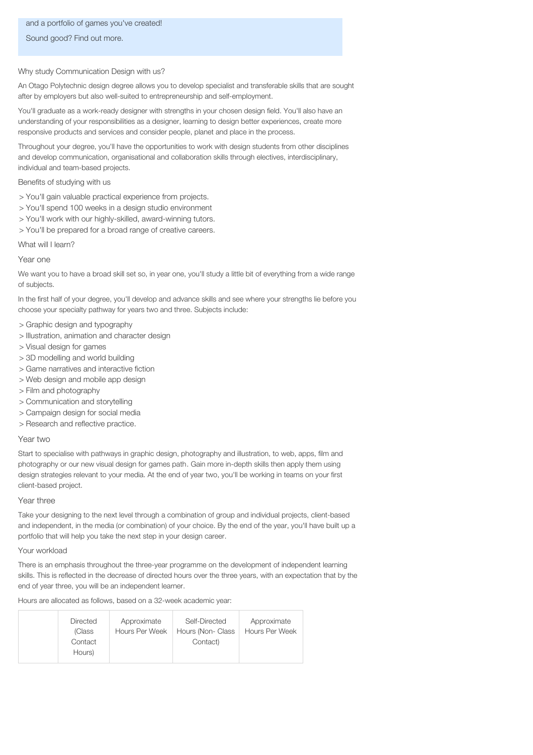## and a portfolio of games you've created!

Sound good? Find out more.

## Why study Communication Design with us?

An Otago Polytechnic design degree allows you to develop specialist and transferable skills that are sought after by employers but also well-suited to entrepreneurship and self-employment.

You'll graduate as a work-ready designer with strengths in your chosen design field. You'll also have an understanding of your responsibilities as a designer, learning to design better experiences, create more responsive products and services and consider people, planet and place in the process.

Throughout your degree, you'll have the opportunities to work with design students from other disciplines and develop communication, organisational and collaboration skills through electives, interdisciplinary, individual and team-based projects.

## Benefits of studying with us

- > You'll gain valuable practical experience from projects.
- > You'll spend 100 weeks in a design studio environment
- > You'll work with our highly-skilled, award-winning tutors.
- > You'll be prepared for a broad range of creative careers.

## What will I learn?

## Year one

We want you to have a broad skill set so, in year one, you'll study a little bit of everything from a wide range of subjects.

In the first half of your degree, you'll develop and advance skills and see where your strengths lie before you choose your specialty pathway for years two and three. Subjects include:

- > Graphic design and typography
- > Illustration, animation and character design
- > Visual design for games
- > 3D modelling and world building
- > Game narratives and interactive fiction
- > Web design and mobile app design
- > Film and photography
- > Communication and storytelling
- > Campaign design for social media
- > Research and reflective practice.

#### Year two

Start to specialise with pathways in graphic design, photography and illustration, to web, apps, film and photography or our new visual design for games path. Gain more in-depth skills then apply them using design strategies relevant to your media. At the end of year two, you'll be working in teams on your first client-based project.

#### Year three

Take your designing to the next level through a combination of group and individual projects, client-based and independent, in the media (or combination) of your choice. By the end of the year, you'll have built up a portfolio that will help you take the next step in your design career.

#### Your workload

There is an emphasis throughout the three-year programme on the development of independent learning skills. This is reflected in the decrease of directed hours over the three years, with an expectation that by the end of year three, you will be an independent learner.

Hours are allocated as follows, based on a 32-week academic year:

| <b>Directed</b>   | Approximate    | Self-Directed     | Approximate           |
|-------------------|----------------|-------------------|-----------------------|
| (Class            | Hours Per Week | Hours (Non- Class | <b>Hours Per Week</b> |
| Contact<br>Hours) |                | Contact)          |                       |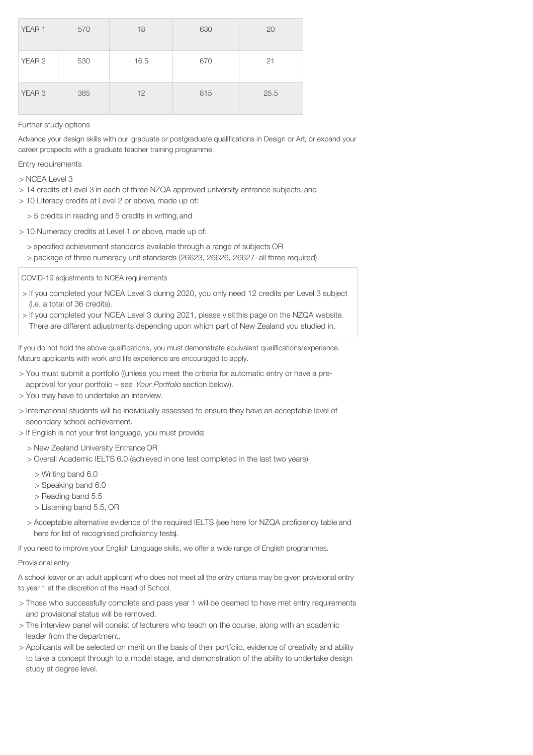| YEAR 1            | 570 | 18   | 630 | 20   |
|-------------------|-----|------|-----|------|
| YEAR 2            | 530 | 16.5 | 670 | 21   |
| YEAR <sub>3</sub> | 385 | 12   | 815 | 25.5 |

## Further study options

Advance your design skills with our graduate or postgraduate qualifications in Design or Art, or expand your career prospects with a graduate teacher training programme.

Entry requirements

> NCEA Level 3

- > 14 credits at Level 3 in each of three NZQA approved university entrance subjects, and
- > 10 Literacy credits at Level 2 or above, made up of:
	- > 5 credits in reading and 5 credits in writing,and
- > 10 Numeracy credits at Level 1 or above, made up of:
	- > specified achievement standards available through a range of subjects OR > package of three numeracy unit standards (26623, 26626, 26627- all three required).

COVID-19 adjustments to NCEA requirements

- > If you completed your NCEA Level 3 during 2020, you only need 12 credits per Level 3 subject (i.e. a total of 36 credits).
- > If you completed your NCEA Level 3 during 2021, please visitthis page on the NZQA website. There are different adjustments depending upon which part of New Zealand you studied in.

If you do not hold the above qualifications, you must demonstrate equivalent qualifications/experience. Mature applicants with work and life experience are encouraged to apply.

- > You must submit a portfolio ((unless you meet the criteria for automatic entry or have a preapproval for your portfolio – see Your Portfolio section below).
- > You may have to undertake an interview.
- > International students will be individually assessed to ensure they have an acceptable level of secondary school achievement.
- > If English is not your first language, you must provide:
	- > New Zealand University Entrance OR
	- > Overall Academic IELTS 6.0 (achieved in one test completed in the last two years)
		- > Writing band 6.0
		- > Speaking band 6.0
		- > Reading band 5.5
		- > Listening band 5.5, OR
	- > Acceptable alternative evidence of the required IELTS (see here for NZQA proficiency table and here for list of recognised proficiency tests).

If you need to improve your English Language skills, we offer a wide range of English programmes.

## Provisional entry

A school leaver or an adult applicant who does not meet all the entry criteria may be given provisional entry to year 1 at the discretion of the Head of School.

- > Those who successfully complete and pass year 1 will be deemed to have met entry requirements and provisional status will be removed.
- > The interview panel will consist of lecturers who teach on the course, along with an academic leader from the department.
- > Applicants will be selected on merit on the basis of their portfolio, evidence of creativity and ability to take a concept through to a model stage, and demonstration of the ability to undertake design study at degree level.